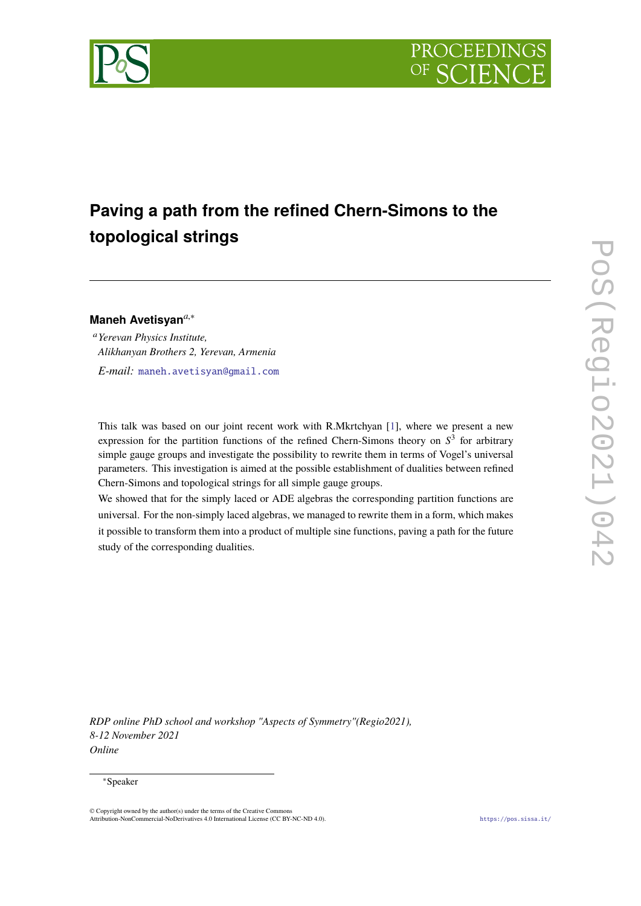



# **Paving a path from the refined Chern-Simons to the topological strings**

## **Maneh Avetisyan***a*,<sup>∗</sup>

<sup>a</sup>*Yerevan Physics Institute, Alikhanyan Brothers 2, Yerevan, Armenia E-mail:* [maneh.avetisyan@gmail.com](mailto:maneh.avetisyan@gmail.com)

This talk was based on our joint recent work with R.Mkrtchyan [\[1\]](#page-7-0), where we present a new expression for the partition functions of the refined Chern-Simons theory on *S* 3 for arbitrary simple gauge groups and investigate the possibility to rewrite them in terms of Vogel's universal parameters. This investigation is aimed at the possible establishment of dualities between refined Chern-Simons and topological strings for all simple gauge groups.

We showed that for the simply laced or ADE algebras the corresponding partition functions are universal. For the non-simply laced algebras, we managed to rewrite them in a form, which makes it possible to transform them into a product of multiple sine functions, paving a path for the future study of the corresponding dualities.

*RDP online PhD school and workshop "Aspects of Symmetry"(Regio2021), 8-12 November 2021 Online*

#### <sup>∗</sup>Speaker

<sup>©</sup> Copyright owned by the author(s) under the terms of the Creative Commons Attribution-NonCommercial-NoDerivatives 4.0 International License (CC BY-NC-ND 4.0). <https://pos.sissa.it/>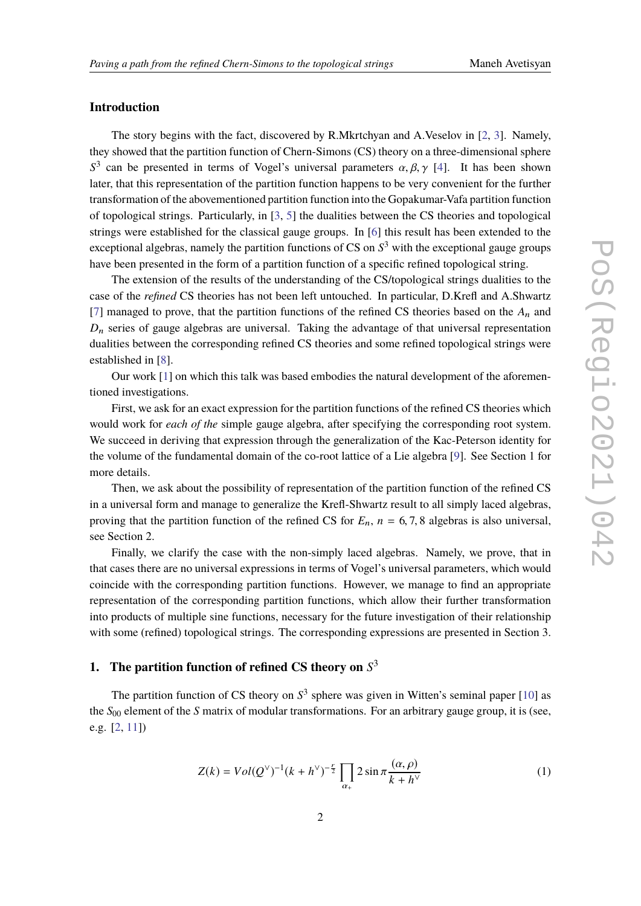# **Introduction**

The story begins with the fact, discovered by R.Mkrtchyan and A.Veselov in [\[2,](#page-7-1) [3\]](#page-7-2). Namely, they showed that the partition function of Chern-Simons (CS) theory on a three-dimensional sphere  $S<sup>3</sup>$  can be presented in terms of Vogel's universal parameters  $\alpha, \beta, \gamma$  [\[4\]](#page-7-3). It has been shown later, that this representation of the partition function happens to be very convenient for the further transformation of the abovementioned partition function into the Gopakumar-Vafa partition function of topological strings. Particularly, in [\[3,](#page-7-2) [5\]](#page-7-4) the dualities between the CS theories and topological strings were established for the classical gauge groups. In [\[6\]](#page-7-5) this result has been extended to the exceptional algebras, namely the partition functions of CS on *S* <sup>3</sup> with the exceptional gauge groups have been presented in the form of a partition function of a specific refined topological string.

The extension of the results of the understanding of the CS/topological strings dualities to the case of the *refined* CS theories has not been left untouched. In particular, D.Krefl and A.Shwartz [\[7\]](#page-8-0) managed to prove, that the partition functions of the refined CS theories based on the  $A_n$  and  $D_n$  series of gauge algebras are universal. Taking the advantage of that universal representation dualities between the corresponding refined CS theories and some refined topological strings were established in [\[8\]](#page-8-1).

Our work [\[1\]](#page-7-0) on which this talk was based embodies the natural development of the aforementioned investigations.

First, we ask for an exact expression for the partition functions of the refined CS theories which would work for *each of the* simple gauge algebra, after specifying the corresponding root system. We succeed in deriving that expression through the generalization of the Kac-Peterson identity for the volume of the fundamental domain of the co-root lattice of a Lie algebra [\[9\]](#page-8-2). See Section 1 for more details.

Then, we ask about the possibility of representation of the partition function of the refined CS in a universal form and manage to generalize the Krefl-Shwartz result to all simply laced algebras, proving that the partition function of the refined CS for  $E_n$ ,  $n = 6, 7, 8$  algebras is also universal, see Section 2.

Finally, we clarify the case with the non-simply laced algebras. Namely, we prove, that in that cases there are no universal expressions in terms of Vogel's universal parameters, which would coincide with the corresponding partition functions. However, we manage to find an appropriate representation of the corresponding partition functions, which allow their further transformation into products of multiple sine functions, necessary for the future investigation of their relationship with some (refined) topological strings. The corresponding expressions are presented in Section 3.

# **1. The partition function of refined CS theory on** *S* 3

The partition function of CS theory on *S* 3 sphere was given in Witten's seminal paper [\[10\]](#page-8-3) as the *S*<sup>00</sup> element of the *S* matrix of modular transformations. For an arbitrary gauge group, it is (see, e.g. [\[2,](#page-7-1) [11\]](#page-8-4))

<span id="page-1-0"></span>
$$
Z(k) = Vol(Q^{\vee})^{-1} (k + h^{\vee})^{-\frac{r}{2}} \prod_{\alpha_{+}} 2 \sin \pi \frac{(\alpha, \rho)}{k + h^{\vee}}
$$
 (1)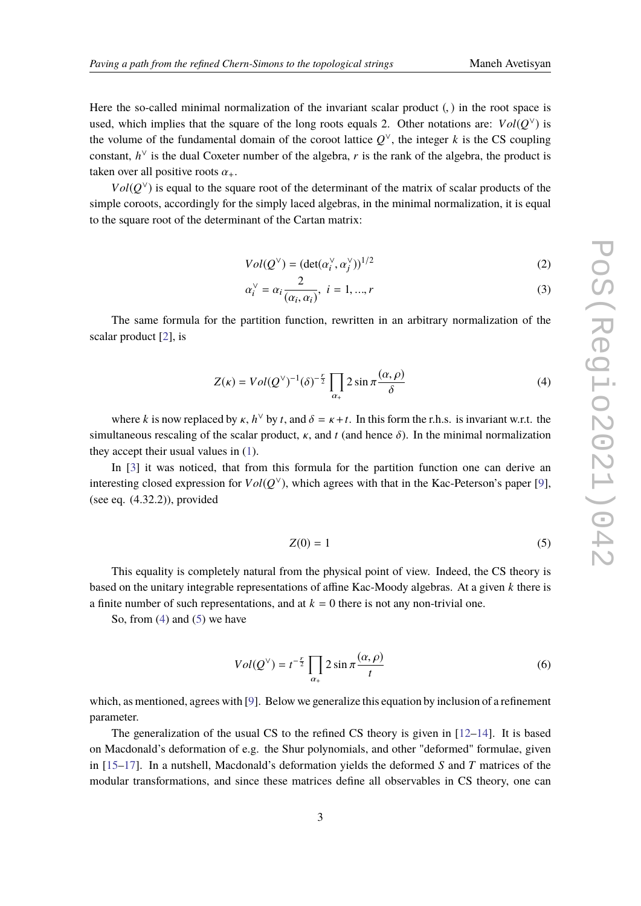Here the so-called minimal normalization of the invariant scalar product (, ) in the root space is used, which implies that the square of the long roots equals 2. Other notations are:  $Vol(Q^{\vee})$  is the volume of the fundamental domain of the coroot lattice  $Q^{\vee}$ , the integer *k* is the CS coupling constant,  $h^{\vee}$  is the dual Coxeter number of the algebra, *r* is the rank of the algebra, the product is taken over all positive roots  $\alpha_{+}$ .

 $Vol(Q<sup>V</sup>)$  is equal to the square root of the determinant of the matrix of scalar products of the simple coroots, accordingly for the simply laced algebras, in the minimal normalization, it is equal to the square root of the determinant of the Cartan matrix:

$$
Vol(Q^{\vee}) = (\det(\alpha_i^{\vee}, \alpha_j^{\vee}))^{1/2}
$$
 (2)

$$
\alpha_i^{\vee} = \alpha_i \frac{2}{(\alpha_i, \alpha_i)}, \ i = 1, ..., r
$$
 (3)

The same formula for the partition function, rewritten in an arbitrary normalization of the scalar product [\[2\]](#page-7-1), is

<span id="page-2-0"></span>
$$
Z(\kappa) = Vol(Q^{\vee})^{-1} (\delta)^{-\frac{r}{2}} \prod_{\alpha_{+}} 2 \sin \pi \frac{(\alpha, \rho)}{\delta}
$$
 (4)

where *k* is now replaced by  $\kappa$ ,  $h^{\vee}$  by *t*, and  $\delta = \kappa + t$ . In this form the r.h.s. is invariant w.r.t. the simultaneous rescaling of the scalar product,  $\kappa$ , and  $t$  (and hence  $\delta$ ). In the minimal normalization they accept their usual values in [\(1\)](#page-1-0).

In [\[3\]](#page-7-2) it was noticed, that from this formula for the partition function one can derive an interesting closed expression for  $Vol(Q^{\vee})$ , which agrees with that in the Kac-Peterson's paper [\[9\]](#page-8-2), (see eq. (4.32.2)), provided

<span id="page-2-1"></span>
$$
Z(0) = 1 \tag{5}
$$

This equality is completely natural from the physical point of view. Indeed, the CS theory is based on the unitary integrable representations of affine Kac-Moody algebras. At a given *k* there is a finite number of such representations, and at  $k = 0$  there is not any non-trivial one.

So, from  $(4)$  and  $(5)$  we have

<span id="page-2-2"></span>
$$
Vol(Q^{\vee}) = t^{-\frac{r}{2}} \prod_{\alpha_{+}} 2 \sin \pi \frac{(\alpha, \rho)}{t}
$$
 (6)

which, as mentioned, agrees with [\[9\]](#page-8-2). Below we generalize this equation by inclusion of a refinement parameter.

The generalization of the usual CS to the refined CS theory is given in  $[12-14]$  $[12-14]$ . It is based on Macdonald's deformation of e.g. the Shur polynomials, and other "deformed" formulae, given in [\[15–](#page-8-7)[17\]](#page-8-8). In a nutshell, Macdonald's deformation yields the deformed *S* and *T* matrices of the modular transformations, and since these matrices define all observables in CS theory, one can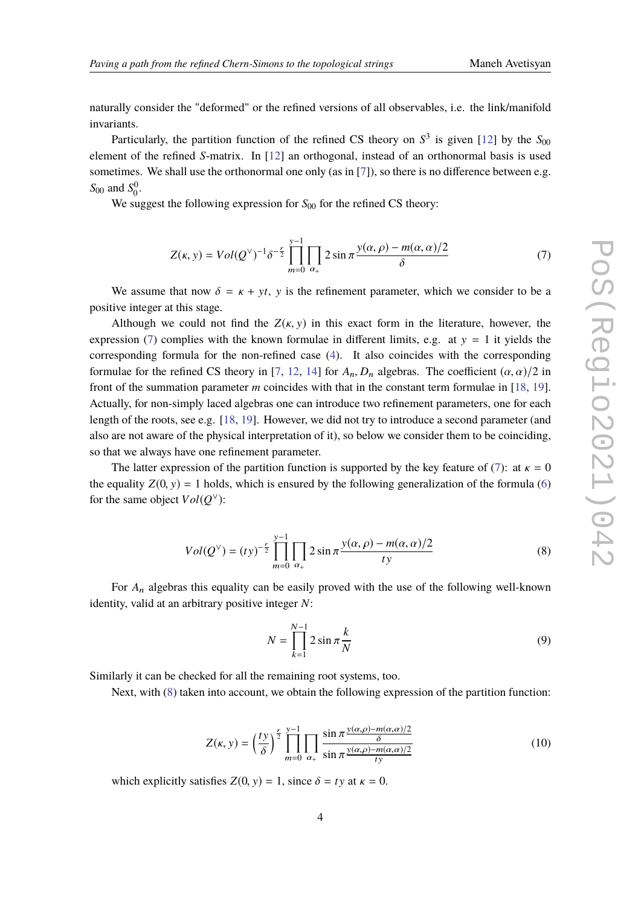naturally consider the "deformed" or the refined versions of all observables, i.e. the link/manifold invariants.

Particularly, the partition function of the refined CS theory on  $S^3$  is given [\[12\]](#page-8-5) by the  $S_{00}$ element of the refined *S*-matrix. In [\[12\]](#page-8-5) an orthogonal, instead of an orthonormal basis is used sometimes. We shall use the orthonormal one only (as in [\[7\]](#page-8-0)), so there is no difference between e.g.  $S_{00}$  and  $S_0^0$ .

We suggest the following expression for *S*<sub>00</sub> for the refined CS theory:

<span id="page-3-0"></span>
$$
Z(\kappa, y) = Vol(Q^{\vee})^{-1} \delta^{-\frac{y}{2}} \prod_{m=0}^{y-1} \prod_{\alpha_{+}} 2 \sin \pi \frac{y(\alpha, \rho) - m(\alpha, \alpha)/2}{\delta} \tag{7}
$$

We assume that now  $\delta = \kappa + yt$ , y is the refinement parameter, which we consider to be a positive integer at this stage.

Although we could not find the  $Z(\kappa, y)$  in this exact form in the literature, however, the expression [\(7\)](#page-3-0) complies with the known formulae in different limits, e.g. at  $y = 1$  it yields the corresponding formula for the non-refined case [\(4\)](#page-2-0). It also coincides with the corresponding formulae for the refined CS theory in [\[7,](#page-8-0) [12,](#page-8-5) [14\]](#page-8-6) for  $A_n$ ,  $D_n$  algebras. The coefficient  $(\alpha, \alpha)/2$  in front of the summation parameter *m* coincides with that in the constant term formulae in [\[18,](#page-8-9) [19\]](#page-8-10). Actually, for non-simply laced algebras one can introduce two refinement parameters, one for each length of the roots, see e.g. [\[18,](#page-8-9) [19\]](#page-8-10). However, we did not try to introduce a second parameter (and also are not aware of the physical interpretation of it), so below we consider them to be coinciding, so that we always have one refinement parameter.

The latter expression of the partition function is supported by the key feature of [\(7\)](#page-3-0): at  $\kappa = 0$ the equality  $Z(0, y) = 1$  holds, which is ensured by the following generalization of the formula [\(6\)](#page-2-2) for the same object  $Vol(Q^{\vee})$ :

<span id="page-3-1"></span>
$$
Vol(Q^{\vee}) = (ty)^{-\frac{r}{2}} \prod_{m=0}^{y-1} \prod_{\alpha_{+}} 2 \sin \pi \frac{y(\alpha, \rho) - m(\alpha, \alpha)/2}{ty}
$$
(8)

For *A*<sup>n</sup> algebras this equality can be easily proved with the use of the following well-known identity, valid at an arbitrary positive integer *N*:

$$
N = \prod_{k=1}^{N-1} 2 \sin \pi \frac{k}{N}
$$
 (9)

Similarly it can be checked for all the remaining root systems, too.

Next, with [\(8\)](#page-3-1) taken into account, we obtain the following expression of the partition function:

<span id="page-3-2"></span>
$$
Z(\kappa, y) = \left(\frac{ty}{\delta}\right)^{\frac{r}{2}} \prod_{m=0}^{y-1} \prod_{\alpha_+} \frac{\sin \pi \frac{y(\alpha, \rho) - m(\alpha, \alpha)/2}{\delta}}{\sin \pi \frac{y(\alpha, \rho) - m(\alpha, \alpha)/2}{ty}}
$$
(10)

which explicitly satisfies  $Z(0, y) = 1$ , since  $\delta = ty$  at  $\kappa = 0$ .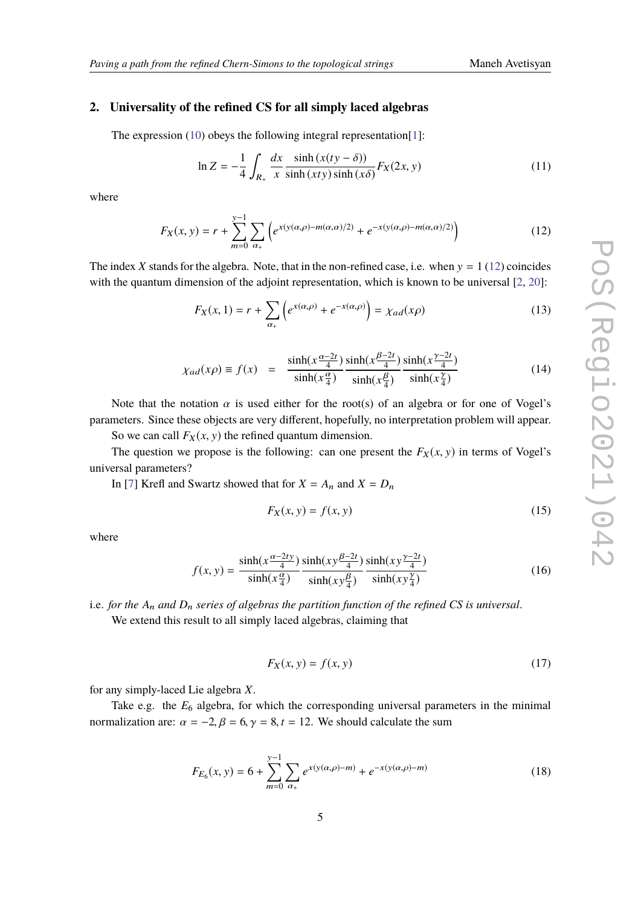## **2. Universality of the refined CS for all simply laced algebras**

The expression [\(10\)](#page-3-2) obeys the following integral representation[\[1\]](#page-7-0):

<span id="page-4-2"></span>
$$
\ln Z = -\frac{1}{4} \int_{R_+} \frac{dx}{x} \frac{\sinh(x(ty - \delta))}{\sinh(x(ty)\sinh(x\delta))} F_X(2x, y)
$$
(11)

where

<span id="page-4-0"></span>
$$
F_X(x, y) = r + \sum_{m=0}^{y-1} \sum_{\alpha_+} \left( e^{x(y(\alpha, \rho) - m(\alpha, \alpha)/2)} + e^{-x(y(\alpha, \rho) - m(\alpha, \alpha)/2)} \right)
$$
(12)

The index *X* stands for the algebra. Note, that in the non-refined case, i.e. when  $y = 1$  [\(12\)](#page-4-0) coincides with the quantum dimension of the adjoint representation, which is known to be universal  $[2, 20]$  $[2, 20]$  $[2, 20]$ :

$$
F_X(x, 1) = r + \sum_{\alpha_+} \left( e^{x(\alpha, \rho)} + e^{-x(\alpha, \rho)} \right) = \chi_{ad}(x\rho)
$$
 (13)

$$
\chi_{ad}(x\rho) \equiv f(x) = \frac{\sinh(x\frac{\alpha-2t}{4})}{\sinh(x\frac{\alpha}{4})} \frac{\sinh(x\frac{\beta-2t}{4})}{\sinh(x\frac{\beta}{4})} \frac{\sinh(x\frac{\gamma-2t}{4})}{\sinh(x\frac{\gamma}{4})}
$$
(14)

Note that the notation  $\alpha$  is used either for the root(s) of an algebra or for one of Vogel's parameters. Since these objects are very different, hopefully, no interpretation problem will appear.

So we can call  $F_X(x, y)$  the refined quantum dimension.

The question we propose is the following: can one present the  $F_X(x, y)$  in terms of Vogel's universal parameters?

In [\[7\]](#page-8-0) Krefl and Swartz showed that for  $X = A_n$  and  $X = D_n$ 

$$
F_X(x, y) = f(x, y) \tag{15}
$$

where

$$
f(x, y) = \frac{\sinh(x \frac{\alpha - 2ty}{4})}{\sinh(x \frac{\alpha}{4})} \frac{\sinh(xy \frac{\beta - 2t}{4})}{\sinh(xy \frac{\beta}{4})} \frac{\sinh(xy \frac{\gamma - 2t}{4})}{\sinh(xy \frac{\gamma}{4})}
$$
(16)

i.e. *for the A*<sup>n</sup> *and D*<sup>n</sup> *series of algebras the partition function of the refined CS is universal*.

We extend this result to all simply laced algebras, claiming that

$$
F_X(x, y) = f(x, y) \tag{17}
$$

for any simply-laced Lie algebra *X*.

Take e.g. the  $E_6$  algebra, for which the corresponding universal parameters in the minimal normalization are:  $\alpha = -2$ ,  $\beta = 6$ ,  $\gamma = 8$ ,  $t = 12$ . We should calculate the sum

<span id="page-4-1"></span>
$$
F_{E_6}(x, y) = 6 + \sum_{m=0}^{y-1} \sum_{\alpha_+} e^{x(y(\alpha, \rho) - m)} + e^{-x(y(\alpha, \rho) - m)}
$$
(18)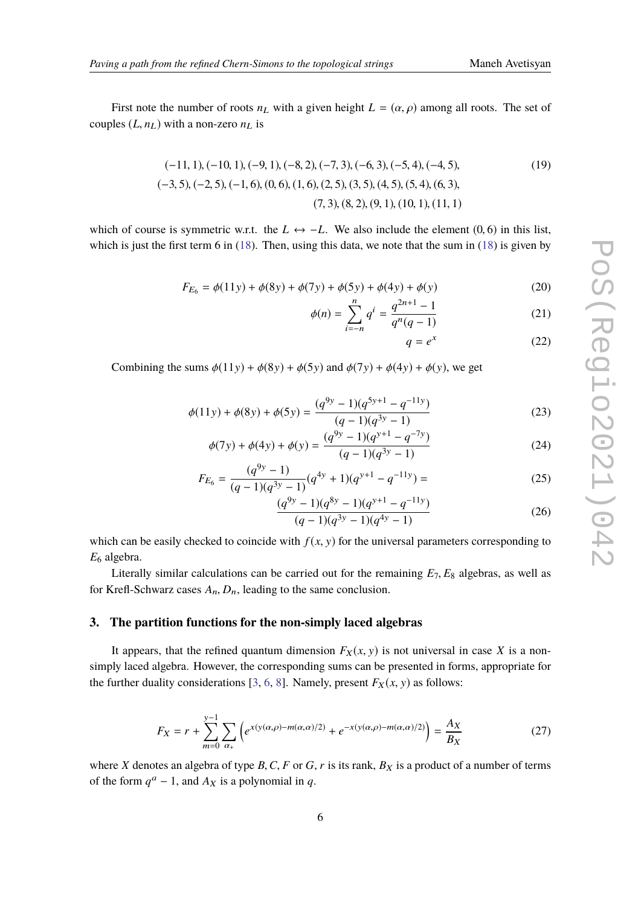First note the number of roots  $n<sub>L</sub>$  with a given height  $L = (\alpha, \rho)$  among all roots. The set of couples  $(L, n_L)$  with a non-zero  $n_L$  is

$$
(-11, 1), (-10, 1), (-9, 1), (-8, 2), (-7, 3), (-6, 3), (-5, 4), (-4, 5),
$$
  

$$
(-3, 5), (-2, 5), (-1, 6), (0, 6), (1, 6), (2, 5), (3, 5), (4, 5), (5, 4), (6, 3),
$$
  

$$
(7, 3), (8, 2), (9, 1), (10, 1), (11, 1)
$$

which of course is symmetric w.r.t. the  $L \leftrightarrow -L$ . We also include the element (0, 6) in this list, which is just the first term 6 in [\(18\)](#page-4-1). Then, using this data, we note that the sum in (18) is given by

$$
F_{E_6} = \phi(11y) + \phi(8y) + \phi(7y) + \phi(5y) + \phi(4y) + \phi(y)
$$
\n(20)

$$
\phi(n) = \sum_{i=-n}^{n} q^{i} = \frac{q^{2n+1} - 1}{q^{n}(q-1)}
$$
\n(21)

$$
q = e^x \tag{22}
$$

Combining the sums  $\phi(11y) + \phi(8y) + \phi(5y)$  and  $\phi(7y) + \phi(4y) + \phi(y)$ , we get

$$
\phi(11y) + \phi(8y) + \phi(5y) = \frac{(q^{9y} - 1)(q^{5y+1} - q^{-11y})}{(q - 1)(q^{3y} - 1)}
$$
\n(23)

$$
\phi(7y) + \phi(4y) + \phi(y) = \frac{(q^{9y} - 1)(q^{y+1} - q^{-7y})}{(q-1)(q^{3y} - 1)}
$$
\n(24)

$$
F_{E_6} = \frac{(q^{9y} - 1)}{(q - 1)(q^{3y} - 1)}(q^{4y} + 1)(q^{y+1} - q^{-11y}) = \tag{25}
$$

$$
\frac{(q^{9y} - 1)(q^{8y} - 1)(q^{y+1} - q^{-11y})}{(q-1)(q^{3y} - 1)(q^{4y} - 1)}
$$
\n(26)

which can be easily checked to coincide with  $f(x, y)$  for the universal parameters corresponding to *E*<sup>6</sup> algebra.

Literally similar calculations can be carried out for the remaining  $E_7$ ,  $E_8$  algebras, as well as for Krefl-Schwarz cases  $A_n$ ,  $D_n$ , leading to the same conclusion.

#### **3. The partition functions for the non-simply laced algebras**

It appears, that the refined quantum dimension  $F_X(x, y)$  is not universal in case X is a nonsimply laced algebra. However, the corresponding sums can be presented in forms, appropriate for the further duality considerations [\[3,](#page-7-2) [6,](#page-7-5) [8\]](#page-8-1). Namely, present  $F_X(x, y)$  as follows:

<span id="page-5-0"></span>
$$
F_X = r + \sum_{m=0}^{y-1} \sum_{\alpha_+} \left( e^{x(y(\alpha,\rho) - m(\alpha,\alpha)/2)} + e^{-x(y(\alpha,\rho) - m(\alpha,\alpha)/2)} \right) = \frac{A_X}{B_X}
$$
(27)

where *X* denotes an algebra of type  $B, C, F$  or  $G, r$  is its rank,  $B_X$  is a product of a number of terms of the form  $q^a - 1$ , and  $A_X$  is a polynomial in q.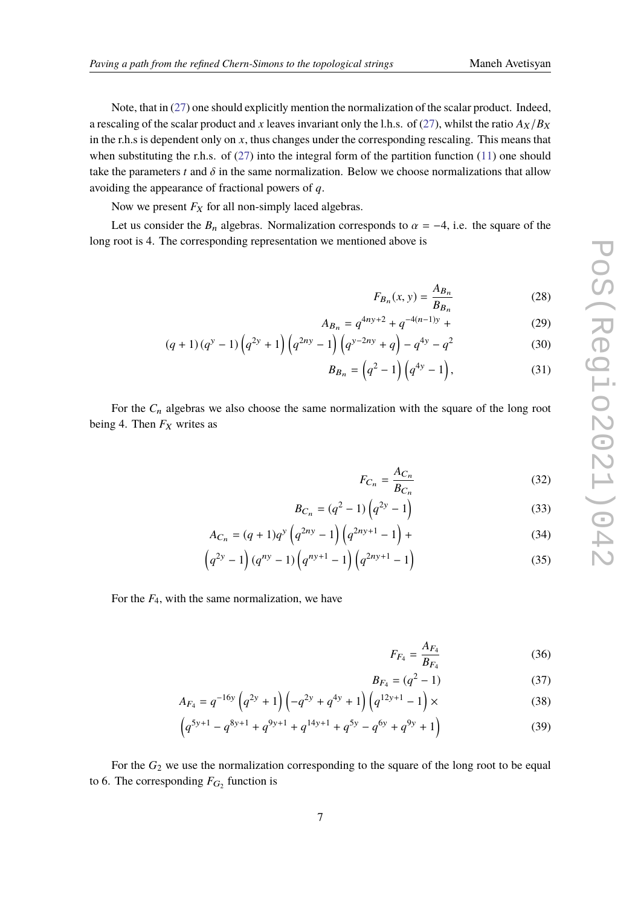Note, that in [\(27\)](#page-5-0) one should explicitly mention the normalization of the scalar product. Indeed, a rescaling of the scalar product and x leaves invariant only the l.h.s. of [\(27\)](#page-5-0), whilst the ratio  $A_X/B_X$ in the r.h.s is dependent only on  $x$ , thus changes under the corresponding rescaling. This means that when substituting the r.h.s. of  $(27)$  into the integral form of the partition function  $(11)$  one should take the parameters  $t$  and  $\delta$  in the same normalization. Below we choose normalizations that allow avoiding the appearance of fractional powers of *q*.

Now we present  $F_X$  for all non-simply laced algebras.

Let us consider the  $B_n$  algebras. Normalization corresponds to  $\alpha = -4$ , i.e. the square of the long root is 4. The corresponding representation we mentioned above is

$$
F_{B_n}(x, y) = \frac{A_{B_n}}{B_{B_n}}\tag{28}
$$

$$
A_{B_n} = q^{4ny+2} + q^{-4(n-1)y} + \tag{29}
$$

$$
(q+1)(q^y-1)\left(q^{2y}+1\right)\left(q^{2ny}-1\right)\left(q^{y-2ny}+q\right)-q^{4y}-q^2\tag{30}
$$

$$
B_{B_n} = \left(q^2 - 1\right) \left(q^{4y} - 1\right),\tag{31}
$$

For the  $C_n$  algebras we also choose the same normalization with the square of the long root being 4. Then  $F_X$  writes as

$$
F_{C_n} = \frac{A_{C_n}}{B_{C_n}}\tag{32}
$$

$$
B_{C_n} = (q^2 - 1) \left( q^{2y} - 1 \right) \tag{33}
$$

$$
A_{C_n} = (q+1)q^y \left( q^{2ny} - 1 \right) \left( q^{2ny+1} - 1 \right) + \tag{34}
$$

$$
(q^{2y} - 1)(q^{ny} - 1)(q^{ny+1} - 1)(q^{2ny+1} - 1)
$$
\n(35)

For the *F*4, with the same normalization, we have

$$
F_{F_4} = \frac{A_{F_4}}{B_{F_4}}\tag{36}
$$

$$
B_{F_4} = (q^2 - 1) \tag{37}
$$

$$
A_{F_4} = q^{-16y} \left( q^{2y} + 1 \right) \left( -q^{2y} + q^{4y} + 1 \right) \left( q^{12y+1} - 1 \right) \times \tag{38}
$$

$$
\left(q^{5y+1} - q^{8y+1} + q^{9y+1} + q^{14y+1} + q^{5y} - q^{6y} + q^{9y} + 1\right)
$$
\n(39)

For the  $G_2$  we use the normalization corresponding to the square of the long root to be equal to 6. The corresponding  $F_{G_2}$  function is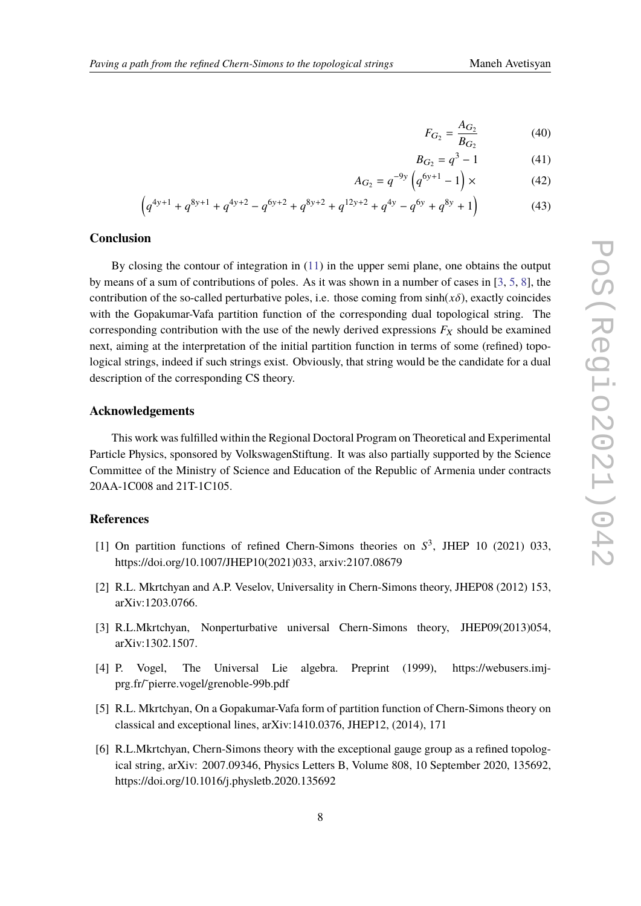$$
F_{G_2} = \frac{A_{G_2}}{B_{G_2}}
$$
 (40)

$$
B_{G_2} = q^3 - 1 \tag{41}
$$

$$
A_{G_2} = q^{-9y} \left( q^{6y+1} - 1 \right) \times \tag{42}
$$

$$
\left(q^{4y+1} + q^{8y+1} + q^{4y+2} - q^{6y+2} + q^{8y+2} + q^{12y+2} + q^{4y} - q^{6y} + q^{8y} + 1\right)
$$
 (43)

#### **Conclusion**

By closing the contour of integration in  $(11)$  in the upper semi plane, one obtains the output by means of a sum of contributions of poles. As it was shown in a number of cases in [\[3,](#page-7-2) [5,](#page-7-4) [8\]](#page-8-1), the contribution of the so-called perturbative poles, i.e. those coming from  $sinh(x\delta)$ , exactly coincides with the Gopakumar-Vafa partition function of the corresponding dual topological string. The corresponding contribution with the use of the newly derived expressions  $F_X$  should be examined next, aiming at the interpretation of the initial partition function in terms of some (refined) topological strings, indeed if such strings exist. Obviously, that string would be the candidate for a dual description of the corresponding CS theory.

#### **Acknowledgements**

This work was fulfilled within the Regional Doctoral Program on Theoretical and Experimental Particle Physics, sponsored by VolkswagenStiftung. It was also partially supported by the Science Committee of the Ministry of Science and Education of the Republic of Armenia under contracts 20AA-1C008 and 21T-1C105.

### **References**

- <span id="page-7-0"></span>[1] On partition functions of refined Chern-Simons theories on  $S^3$ , JHEP 10 (2021) 033, https://doi.org/10.1007/JHEP10(2021)033, arxiv:2107.08679
- <span id="page-7-1"></span>[2] R.L. Mkrtchyan and A.P. Veselov, Universality in Chern-Simons theory, JHEP08 (2012) 153, arXiv:1203.0766.
- <span id="page-7-2"></span>[3] R.L.Mkrtchyan, Nonperturbative universal Chern-Simons theory, JHEP09(2013)054, arXiv:1302.1507.
- <span id="page-7-3"></span>[4] P. Vogel, The Universal Lie algebra. Preprint (1999), https://webusers.imjprg.fr/˜pierre.vogel/grenoble-99b.pdf
- <span id="page-7-4"></span>[5] R.L. Mkrtchyan, On a Gopakumar-Vafa form of partition function of Chern-Simons theory on classical and exceptional lines, arXiv:1410.0376, JHEP12, (2014), 171
- <span id="page-7-5"></span>[6] R.L.Mkrtchyan, Chern-Simons theory with the exceptional gauge group as a refined topological string, arXiv: 2007.09346, Physics Letters B, Volume 808, 10 September 2020, 135692, https://doi.org/10.1016/j.physletb.2020.135692